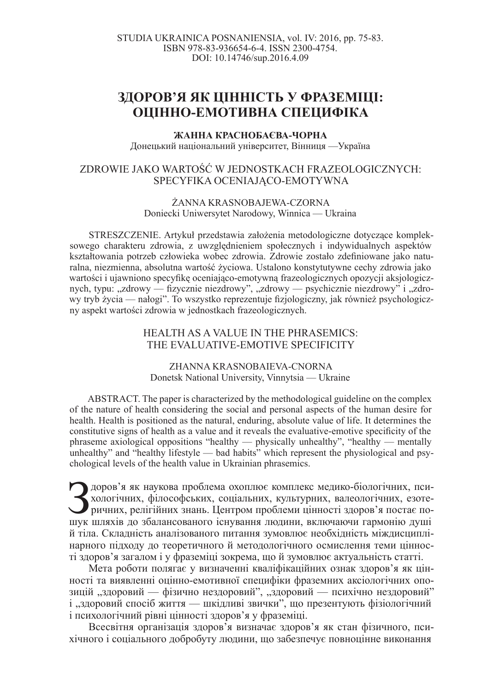# ЗДОРОВ'Я ЯК ЦІННІСТЬ У ФРАЗЕМІЦІ: **ОЦІННО-ЕМОТИВНА СПЕЦИФІКА**

### ЖАННА КРАСНОБАЄВА-ЧОРНА

Донецький національний університет, Вінниця — Україна

# ZDROWIE JAKO WARTOĝû W JEDNOSTKACH FRAZEOLOGICZNYCH: SPECYFIKA OCENIAJĄCO-EMOTYWNA

#### ŻANNA KRASNOBAJEWA-CZORNA Doniecki Uniwersytet Narodowy, Winnica — Ukraina

STRESZCZENIE. Artykuł przedstawia założenia metodologiczne dotyczące kompleksowego charakteru zdrowia, z uwzględnieniem społecznych i indywidualnych aspektów kształtowania potrzeb człowieka wobec zdrowia. Zdrowie zostało zdefiniowane jako naturalna, niezmienna, absolutna wartość życiowa. Ustalono konstytutywne cechy zdrowia jako wartości i ujawniono specyfikę oceniająco-emotywną frazeologicznych opozycji aksjologicznych, typu: "zdrowy — fizycznie niezdrowy", "zdrowy — psychicznie niezdrowy" i "zdrowy tryb życia — nałogi". To wszystko reprezentuje fizjologiczny, jak również psychologiczny aspekt wartoĞci zdrowia w jednostkach frazeologicznych.

## HEALTH AS A VALUE IN THE PHRASEMICS: THE EVALUATIVE-EMOTIVE SPECIFICITY

#### ZHANNA KRASNOBAIEVA-CNORNA Donetsk National University, Vinnytsia — Ukraine

ABSTRACT. The paper is characterized by the methodological guideline on the complex of the nature of health considering the social and personal aspects of the human desire for health. Health is positioned as the natural, enduring, absolute value of life. It determines the constitutive signs of health as a value and it reveals the evaluative-emotive specificity of the phraseme axiological oppositions "healthy — physically unhealthy", "healthy — mentally unhealthy" and "healthy lifestyle — bad habits" which represent the physiological and psychological levels of the health value in Ukrainian phrasemics.

 $\sum_{\text{max}}$ доров'я як наукова проблема охоплює комплекс медико-біологічних, психологічних, філософських, соціальних, культурних, валеологічних, езотеричних, релігійних знань. Центром проблеми цінності здоров'я постає пошук шляхів до збалансованого існування людини, включаючи гармонію душі й тіла. Складність аналізованого питання зумовлює необхідність міждисциплінарного підходу до теоретичного й методологічного осмислення теми цінності здоров'я загалом і у фраземіці зокрема, що й зумовлює актуальність статті.

Мета роботи полягає у визначенні кваліфікаційних ознак здоров'я як цінності та виявленні оцінно-емотивної специфіки фраземних аксіологічних опозицій "здоровий — фізично нездоровий", "здоровий — психічно нездоровий" і "здоровий спосіб життя — шкідливі звички", що презентують фізіологічний і психологічний рівні цінності здоров'я у фраземіці.

Всесвітня організація здоров'я визначає здоров'я як стан фізичного, психічного і соціального добробуту людини, що забезпечує повноцінне виконання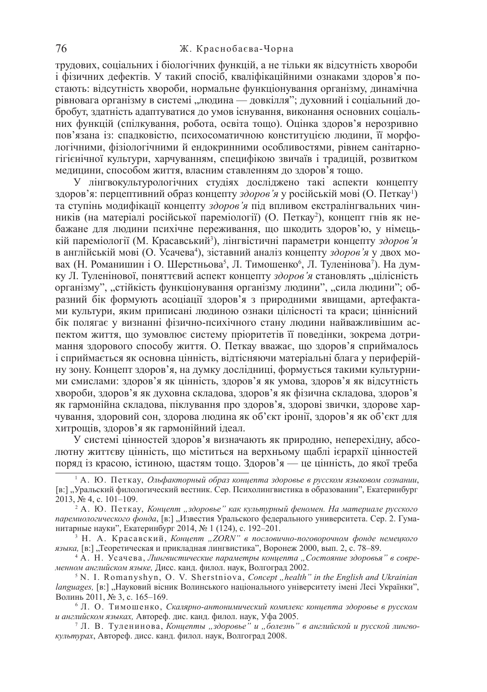трудових, соціальних і біологічних функцій, а не тільки як відсутність хвороби і фізичних дефектів. У такий спосіб, кваліфікаційними ознаками здоров'я постають: відсутність хвороби, нормальне функціонування організму, динамічна рівновага організму в системі "людина — довкілля"; духовний і соціальний добробут, здатність адаптуватися до умов існування, виконання основних соціальних функцій (спілкування, робота, освіта тощо). Оцінка здоров'я нерозривно пов'язана із: спадковістю, психосоматичною конституцією людини, її морфологічними, фізіологічними й ендокринними особливостями, рівнем санітарногігієнічної культури, харчуванням, специфікою звичаїв і традицій, розвитком медицини, способом життя, власним ставленням до здоров'я тощо.

У лінгвокультурологічних студіях досліджено такі аспекти концепту здоров'я: перцептивний образ концепту *здоров'я* у російській мові (О. Петкау<sup>1</sup>) та ступінь модифікації концепту здоров'я під впливом екстралінгвальних чинників (на матеріалі російської пареміології) (О. Петкау<sup>2</sup>), концепт гнів як небажане для людини психічне переживання, що шкодить здоров'ю, у німецькій пареміології (М. Красавський<sup>з</sup>), лінгвістичні параметри концепту здоров'я в англійській мові (О. Усачева<sup>4</sup>), зіставний аналіз концепту здоров'я у двох мовах (Н. Романишин і О. Шерстньова<sup>5</sup>, Л. Тимошенко<sup>6</sup>, Л. Туленінова<sup>7</sup>). На думку Л. Туленінової, поняттєвий аспект концепту здоров'я становлять "цілісність організму", "стійкість функціонування організму людини", "сила людини"; образний бік формують асоціації здоров'я з природними явищами, артефактами культури, яким приписані людиною ознаки цілісності та краси; ціннісний бік полягає у визнанні фізично-психічного стану людини найважливішим аспектом життя, що зумовлює систему пріоритетів її поведінки, зокрема дотримання здорового способу життя. О. Петкау вважає, що здоров'я сприймалось i сприймається як основна цінність, відтісняючи матеріальні блага у периферійну зону. Концепт здоров'я, на думку дослідниці, формується такими культурними смислами: здоров'я як цінність, здоров'я як умова, здоров'я як відсутність хвороби, здоров'я як духовна складова, здоров'я як фізична складова, здоров'я як гармонійна складова, піклування про здоров'я, здорові звички, здорове харчування, здоровий сон, здорова людина як об'єкт іронії, здоров'я як об'єкт для хитрощів, здоров'я як гармонійний ідеал.

У системі цінностей здоров'я визначають як природню, неперехідну, абсолютну життєву цінність, що міститься на верхньому щаблі ієрархії цінностей поряд із красою, істиною, щастям тощо. Здоров'я — це цінність, до якої треба

<sup>&</sup>lt;sup>1</sup> А. Ю. Петкау, Ольфакторный образ концепта здоровье в русском языковом сознании, [в:] "Уральский филологический вестник. Сер. Психолингвистика в образовании", Екатеринбург  $2013, \hat{N}_2$  4, c. 101–109.

<sup>&</sup>lt;sup>2</sup> А. Ю. Петкау, Концепт "здоровье" как культурный феномен. На материале русского ларемиологического фонда, [в:] "Известия Уральского федерального университета. Сер. 2. Гуманитарные науки", Екатеринбург 2014, № 1 (124), с. 192-201.

<sup>&</sup>lt;sup>3</sup> Н. А. Красавский, Концепт "ZORN" в пословично-поговорочном фонде немецкого языка, [в:] "Теоретическая и прикладная лингвистика", Воронеж 2000, вып. 2, с. 78–89.

<sup>&</sup>lt;sup>4</sup> А. Н. Усачева, Лингвистические параметры концепта "Состояние здоровья" в современном английском языке, Дисс. канд. филол. наук, Волгоград 2002.

<sup>&</sup>lt;sup>5</sup> N. I. Romanyshyn, O. V. Sherstniova, *Concept*, *health*" in the English and Ukrainian *languages*, [в:] "Науковий вісник Волинського національного університету імені Лесі Українки", Волинь 2011, № 3, с. 165–169.

<sup>&</sup>lt;sup>6</sup> Л. О. Тимошенко, Скалярно-антонимический комплекс концепта здоровье в русском и английском языках, Автореф. дис. канд. филол. наук, Уфа 2005.

<sup>&</sup>lt;sup>7</sup> Л. В. Туленинова, Концепты "здоровье" и "болезнь" в английской и русской лингво*культурах*, Автореф. дисс. канд. филол. наук, Волгоград 2008.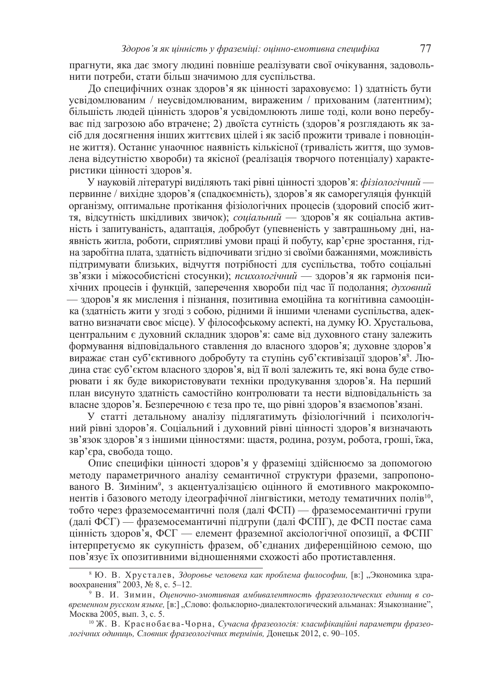прагнути, яка дає змогу людині повніше реалізувати свої очікування, задовольнити потреби, стати більш значимою для суспільства.

До специфічних ознак здоров'я як цінності зараховуємо: 1) здатність бути усвідомлюваним / неусвідомлюваним, вираженим / прихованим (латентним); більшість людей цінність здоров'я усвідомлюють лише тоді, коли воно перебуває під загрозою або втрачене; 2) двоїста сутність (здоров'я розглядають як засіб для досягнення інших життєвих цілей і як засіб прожити тривале і повноцінне життя). Останнє унаочнює наявність кількісної (тривалість життя, що зумовлена відсутністю хвороби) та якісної (реалізація творчого потенціалу) характеристики цінності здоров'я.

У науковій літературі виділяють такі рівні цінності здоров'я: *фізіологічний* первинне / вихідне здоров'я (спадкоємність), здоров'я як саморегуляція функцій організму, оптимальне протікання фізіологічних процесів (здоровий спосіб життя, відсутність шкідливих звичок); *соціальний* — здоров'я як соціальна активність і запитуваність, адаптація, добробут (упевненість у завтрашньому дні, наявність житла, роботи, сприятливі умови праці й побуту, кар'єрне зростання, гідна заробітна плата, здатність відпочивати згідно зі своїми бажаннями, можливість підтримувати близьких, відчуття потрібності для суспільства, тобто соціальні зв'язки і міжособистісні стосунки); *психологічний* — здоров'я як гармонія психічних процесів і функцій, заперечення хвороби під час її подолання; духовний — здоров'я як мислення і пізнання, позитивна емоційна та когнітивна самооцінка (здатність жити у згоді з собою, рідними й іншими членами суспільства, адекватно визначати своє місце). У філософському аспекті, на думку Ю. Хрустальова, центральним є духовний складник здоров'я: саме від духовного стану залежить формування відповідального ставлення до власного здоров'я; духовне здоров'я виражає стан суб'єктивного добробуту та ступінь суб'єктивізації здоров'я<sup>8</sup>. Людина стає суб'єктом власного здоров'я, від її волі залежить те, які вона буде створювати і як буде використовувати техніки продукування здоров'я. На перший план висунуто здатність самостійно контролювати та нести відповідальність за власне здоров'я. Безперечною є теза про те, що рівні здоров'я взаємопов'язані.

У статті детальному аналізу підлягатимуть фізіологічний і психологічний рівні здоров'я. Соціальний і духовний рівні цінності здоров'я визначають зв'язок здоров'я з іншими цінностями: щастя, родина, розум, робота, гроші, їжа, кар'єра, свобода тощо.

Опис специфіки цінності здоров'я у фраземіці здійснюємо за допомогою методу параметричного аналізу семантичної структури фраземи, запропонованого В. Зиміним<sup>9</sup>, з акцентуалізацією оцінного й емотивного макрокомпонентів і базового методу ідеографічної лінгвістики, методу тематичних полів<sup>10</sup>, тобто через фраземосемантичні поля (далі ФСП) — фраземосемантичні групи (далі ФСГ) — фраземосемантичні підгрупи (далі ФСПГ), де ФСП постає сама цінність здоров'я, ФСГ — елемент фраземної аксіологічної опозиції, а ФСПГ інтерпретуємо як сукупність фразем, об'єднаних диференційною семою, що пов'язує їх опозитивними відношеннями схожості або протиставлення.

<sup>&</sup>lt;sup>8</sup> Ю. В. Хрусталев, Здоровье человека как проблема философии, [в:] "Экономика здравоохранения" 2003, № 8, с. 5–12.

<sup>&</sup>lt;sup>9</sup> В. И. Зимин, Оценочно-эмотивная амбивалентность фразеологических единиц в со- $\epsilon$ ременном русском языке, [в:] "Слово: фольклорно-диалектологический альманах: Языкознание", Москва 2005, вып. 3, с. 5.

<sup>&</sup>lt;sup>10</sup> Ж. В. Краснобаєва-Чорна, Сучасна фразеологія: класифікаційні параметри фразеодогічних одиниць, Словник фразеологічних термінів, Донецьк 2012, с. 90–105.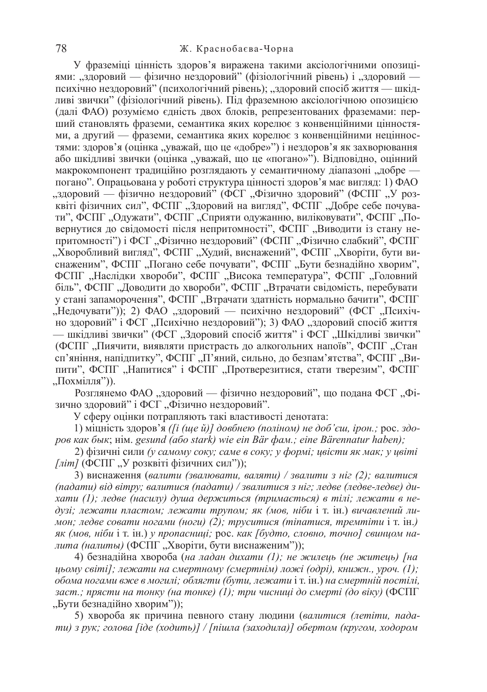У фраземіці цінність здоров'я виражена такими аксіологічними опозиціями: "здоровий — фізично нездоровий" (фізіологічний рівень) і "здоровий психічно нездоровий" (психологічний рівень); "здоровий спосіб життя — шкідливі звички" (фізіологічний рівень). Під фраземною аксіологічною опозицією (далі ФАО) розуміємо єдність двох блоків, репрезентованих фраземами: перший становлять фраземи, семантика яких корелює з конвенційними цінностями, а другий — фраземи, семантика яких корелює з конвенційними нецінностями: здоров'я (оцінка "уважай, що це «добре»") і нездоров'я як захворювання або шкідливі звички (оцінка "уважай, що це «погано»"). Відповідно, оцінний макрокомпонент традиційно розглядають у семантичному діапазоні "добре погано". Опрацьована у роботі структура цінності здоров'я має вигляд: 1) ФАО "здоровий — фізично нездоровий" (ФСГ "Фізично здоровий" (ФСПГ "У розквіті фізичних сил", ФСПГ "Здоровий на вигляд", ФСПГ "Добре себе почувати", ФСПГ "Одужати", ФСПГ "Сприяти одужанню, виліковувати", ФСПГ "Повернутися до свідомості після непритомності", ФСПГ "Виводити із стану непритомності") і ФСГ "Фізично нездоровий" (ФСПГ "Фізично слабкий", ФСПГ "Хворобливий вигляд", ФСПГ "Худий, виснажений", ФСПГ "Хворіти, бути виснаженим", ФСПГ "Погано себе почувати", ФСПГ "Бути безнадійно хворим", ФСПГ "Наслідки хвороби", ФСПГ "Висока температура", ФСПГ "Головний біль", ФСПГ "Доводити до хвороби", ФСПГ "Втрачати свідомість, перебувати у стані запаморочення", ФСПГ, Втрачати здатність нормально бачити", ФСПГ "Недочувати")); 2) ФАО "здоровий — психічно нездоровий" (ФСГ "Психічно здоровий" і ФСГ "Психічно нездоровий"); 3) ФАО "здоровий спосіб життя — шкідливі звички" (ФСГ "Здоровий спосіб життя" і ФСГ "Шкідливі звички" (ФСПГ, Пиячити, виявляти пристрасть до алкогольних напоїв", ФСПГ, Стан сп'яніння, напідпитку", ФСПГ "П'яний, сильно, до безпам'ятства", ФСПГ "Випити", ФСПГ "Напитися" і ФСПГ "Протверезитися, стати тверезим", ФСПГ  $\overline{H}$ ОХМІЛЛЯ")).

Розглянемо ФАО "здоровий — фізично нездоровий", що подана ФСГ "Фізично здоровий" і ФСГ "Фізично нездоровий".

У сферу оцінки потрапляють такі властивості денотата:

1) міцність здоров'я ([*i* (ще й)] довбнею (поліном) не доб'єш, ірон.; рос. здо $po$ <sup>*β*</sup> *κακ δωκ; Him. gesund (abo stark) wie ein Bär*  $d$ *<i>am.; eine Bärennatur haben);* 

2) фізичні сили (у самому соку; саме в соку; у формі; цвісти як мак; у цвіті  $\int \pi i m$  (ФСПГ, У розквіті фізичних сил"));

3) виснаження (валити (звалювати, валяти) / звалити з ніг (2); валитися (падати) від вітру; валитися (падати) / звалитися з ніг; ледве (ледве-ледве) ди $x$ ати (1); ледве (насилу) душа держиться (тримається) в тілі; лежати в не- $\partial y_3i$ ; лежати пластом; лежати трупом; як (мов, ніби і т. ін.) вичавлений ли*мон; ледве совати ногами (ноги) (2); труситися (тіпатися, тремтіти* і т. ін.) *як* (мов, ніби і т. ін.) у пропасниці; рос. как [будто, словно, точно] свинцом надита (налиты) (ФСПГ, Хворіти, бути виснаженим"));

4) безнадійна хвороба (на ладан дихати (1); не жилець (не житець) [на  $\mu_0$ ьому світі]; лежати на смертному (смертнім) ложі (одрі), книжн., уроч. (1);  $\delta$ бома ногами вже в могилі; облягти (бути, лежати і т. ін.) на смертній постілі,  $3a$ *ст*,; прясти на тонку (на тонке) (1); три чисниці до смерті (до віку) (ФСПГ "Бути безнадійно хворим"));

5) хвороба як причина певного стану людини (валитися (летіти, пада*mu)* з рук; голова [iде (ходить)] / [пішла (заходила)] обертом (кругом, ходором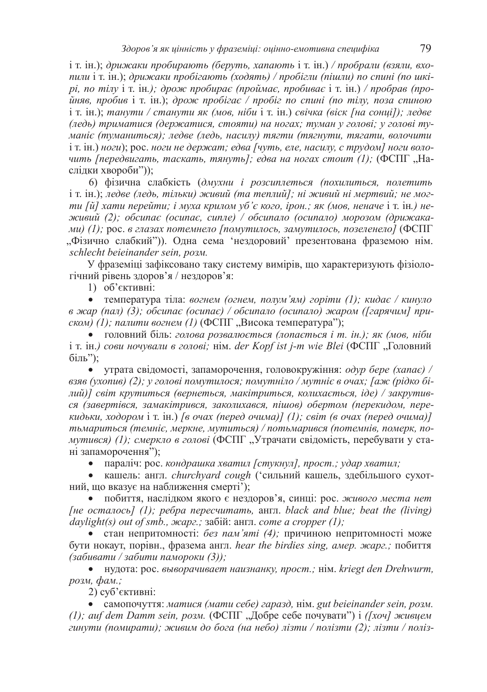$i$  т. ін.); дрижаки пробирають (беруть, хапають і т. ін.) / пробрали (взяли, вхо*nuли*  $i$  т.  $i$ н.); *дрижаки пробігають (ходять) / пробігли (пішли) по спині (по шкі* $pi$ , *no miny* i т. iн.); дрож пробирає (проймає, пробиває i т. iн.) / пробрав (про- $\tilde{u}$ няв, пробив і т. ін.); дрож пробігає / пробіг по спині (по тілу, поза спиною  $i$  т. ін.); танути / станути як (мов, ніби і т. ін.) свічка (віск [на сонці]); ледве (ледь) триматися (держатися, стояти) на ногах; туман у голові; у голові ту- $M$ аніє (туманиться); ледве (ледь, насилу) тягти (тягнути, тягати, волочити i т. iн.) ноги); рос. ноги не держат; едва [чуть, еле, насилу, с трудом] ноги воло*чить* [передвигать, таскать, тянуть]; едва на ногах стоит (1); (ФСПГ, "Наслідки хвороби"));

6) фізична слабкість (дмухни *і розсиплеться (похилиться, полетить*  $i$  т. ін.); ледве (ледь, тільки) живий (та теплий]; ні живий ні мертвий; не могти [й] хати перейти; і муха крилом уб'є кого, ірон.; як (мов, неначе і т. ін.) не $x$ еивий (2); обсипає (осипає, сипле) / обсипало (осипало) морозом (дрижака- $\mu$ <sub>W</sub>) (1); рос. в глазах потемнело [помутилось, замутилось, позеленело] (ФСПГ "Фізично слабкий")). Одна сема 'нездоровий' презентована фраземою нім.  $s$ *chlecht beieinander sein, poзм.* 

У фраземіці зафіксовано таку систему вимірів, що характеризують фізіологічний рівень здоров'я / нездоров'я:

1) об'єктивні:

• температура тіла: вогнем (огнем, полум'ям) горіти (1); кидає / кинуло  $\alpha$  жар (пал) (3); обсипає (осипає) / обсипало (осипало) жаром ([гарячим] при*cком)* (1); палити вогнем (1) (ФСПГ, Висока температура");

• головний біль: голова розвалюється (лопається *і* т. ін.); як (мов, ніби i т. iн.) сови ночували в головi; нiм. der Kopf ist j-m wie Blei (ФСПГ "Головний  $\overline{0}$ іль");

• утрата свідомості, запаморочення, головокружіння: *одур бере (хапає)* /  $s$ зяв (ухопив) (2); у голові помутилося; помутніло / мутніє в очах; [аж (рідко бі- $\mu$ ий)] світ крутиться (вернеться, макітриться, колихається, *іде*) / закрутив $c$ я (завертівся, замакітрився, заколихався, пішов) обертом (перекидом, пере*кидьки, ходором i* т. *iн.*) *[в очах (перед очима)] (1); світ (в очах (перед очима)]*  $m$ ьмариться (темніє, меркне, мутиться) / потьмарився (потемнів, померк, по*мутився*) (1); *смеркло в голові* (ФСПГ "Утрачати свідомість, перебувати у стані запаморочення");

• параліч: рос. кондрашка хватил [стукнул], прост.; удар хватил;

• кашель: англ. *churchyard cough* ('сильний кашель, здебільшого сухотний, що вказує на наближення смерті');

побиття, наслідком якого є нездоров'я, синці: рос. живого места нет  $[He \space commot b]$  (1);  $p \epsilon \delta p a \space n \epsilon p c \epsilon \epsilon u m a m b$ , and *blue; beat the (living)*  $daylight(s)$  *out of smb.,*  $\forall x \in \mathcal{I}$   $\forall y \in \mathcal{I}$ .  $\exists y \in \mathcal{I}$  *and*  $\forall y \in \mathcal{I}$  *and*  $\forall z \in \mathcal{I}$  *and*  $\forall z \in \mathcal{I}$  *and*  $\forall z \in \mathcal{I}$  *and*  $\forall z \in \mathcal{I}$  *and*  $\forall z \in \mathcal{I}$  *and*  $\forall z \in \mathcal{I}$  *and*  $\forall z \in \mathcal{I}$  *and \forall z \in \math* 

• стан непритомності: *без пам'яті (4)*; причиною непритомності може бути нокаут, порівн., фразема англ. hear the birdies sing, амер. жарг.; побиття *(ɡɚɛɢɜɚɬɢ / ɡɚɛɢɬɢ ɩɚɦɨɪɨɤɢ (3));*

• нудота: рос. выворачивает наизнанку, прост.; нім. kriegt den Drehwurm, *розм, фам.;* 

2) суб'єктивні:

• camonoyyrrs: *Mamuca (Mamu cebe) capaso*, Him. gut beieinander sein, *posm. (1); auf dem Damm sein, розм.* (ФСПГ, Добре себе почувати") і *([хоч] живцем гинути (помирати); живим до бога (на небо) лізти / полізти (2); лізти / поліз-*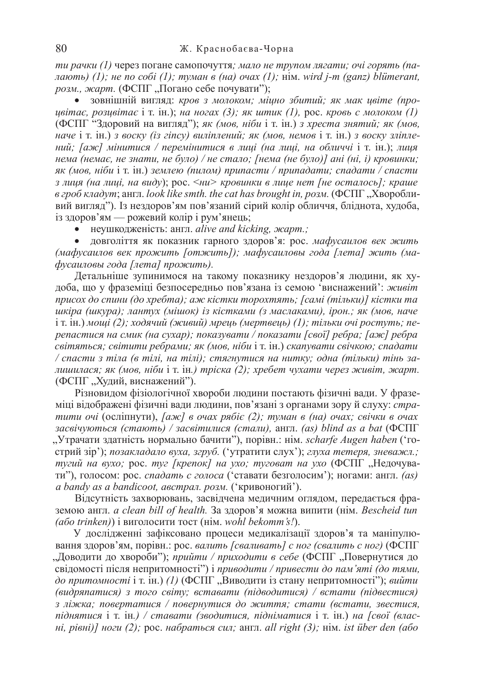*ти рачки (1)* через погане самопочуття; мало не трупом лягати; очі горять (па- $\mu$ дають) (1); не по собі (1); туман в (на) oчах (1); нім. wird j-m (ganz) blümerant, *розм., жарт.* (ФСПГ, Погано себе почувати");

• зовнішній вигляд: кров з молоком; міцно збитий; як мак цвіте (про*ų* $\alpha$ *éimaє, розцвітає* і т. ін.); *на ногах* (3); як штик (1), рос. кровь с молоком (1) (ФСПГ "Здоровий на вигляд"); як (мов, ніби і т. ін.) з хреста знятий; як (мов, *наче i т. i*н.) *з воску (iз гincy) вилiплений; як (мов, немов i т. iн.) з воску злiплений*; [аж] мінитися / перемінитися в лиці (на лиці, на обличчі і т. ін.); лиця нема (немає, не знати, не було) / не стало; [нема (не було)] ані (ні, і) кровинки; *як* (мов, ніби і т. ін.) землею (пилом) припасти / припадати; спадати / спасти *3* лиця (на лиці, на виду); рос. < ни> кровинки в лице нет [не осталось]; краше  $\alpha$  *εροδ κπαδγm*; англ. look like smth. the cat has brought in, розм. (ΦCIIΓ, Хворобливий вигляд"). Із нездоров'ям пов'язаний сірий колір обличчя, бліднота, худоба, із здоров'ям — рожевий колір і рум'янець;

неушкодженість: англ. alive and kicking, жарт.;

довголіття як показник гарного здоров'я: рос. мафусаилов век жить *(ɦɚɮɭɫɚɢɥɨɜ ɜɟɤ ɩɪɨɠɢɬɶ [ɨɬɠɢɬɶ]); ɦɚɮɭɫɚɢɥɨɜɵ ɝɨɞɚ [ɥɟɬɚ] ɠɢɬɶ (ɦɚ-* $\phi$ усаиловы года [лета] прожить).

Детальніше зупинимося на такому показнику нездоров'я людини, як худоба, що у фраземіці безпосередньо пов'язана із семою 'виснажений': *живіт npucox до спини (до хребта); аж кістки торохтять; [самі (тільки)] кістки та uwipa* (*иwypa*); лантух (мішок) із кістками (з маслаками), ірон.; як (мов, наче  $i$ т. iн.) мощі (2); ходячий (живий) мрець (мертвець) (1); тільки очі ростуть; пе*penacmucя на смик (на сухар); показувати / показати [свої] ребра; [аж] ребра*  $c$ вітяться; світити ребрами; як (мов, ніби і т. ін.) скапувати свічкою; спадати / спасти з тіла (в тілі, на тілі); стягнутися на нитку; одна (тільки) тінь за*лишилася; як (мов, ніби* і т. ін.) *тріска (2); хребет чухати через живіт, жарт.* (ФСПГ "Худий, виснажений").

Різновидом фізіологічної хвороби людини постають фізичні вади. У фраземіці відображені фізичні вади людини, пов'язані з органами зору й слуху: *страmumu oчi* (осліпнути), *[аж] в очах рябіє (2); туман в (на) очах; свічки в очах*  $\beta$ асвічуються (стають) / засвітилися (стали), англ. (as) blind as a bat (ФСПГ "Утрачати здатність нормально бачити"), порівн.: нім. *scharfe Augen haben* ('гострий зір'); позакладало вуха, згруб. ('утратити слух'); глуха тетеря, зневажл.; *myгий на вухо; рос. myг [крепок] на ухо; туговат на ухо (ФСПГ "Недочува*ти"), голосом: рос. *спадать с голоса* ('ставати безголосим'); ногами: англ. *(as)*  $a$  bandy as a bandicoot, австрал. розм. ('кривоногий').

Відсутність захворювань, засвідчена медичним оглядом, передається фраземою англ. *a clean bill of health.* За здоров'я можна випити (нім. Bescheid tun *(або trinken)*) і виголосити тост (нім. wohl bekomm's!).

У дослідженні зафіксовано процеси медикалізації здоров'я та маніпулювання здоров'ям, порівн.: рос. валить [сваливать] с ног (свалить с ног) (ФСПГ "Доводити до хвороби"); *прийти / приходити в себе* (ФСПГ "Повернутися до свідомості після непритомності") і приводити / привести до пам'яті (до тями, до притомності і т. ін.) (1) (ФСПГ, Виводити із стану непритомності"); вийти  $(\alpha \alpha)$  *з* того світу; вставати (підводитися) / встати (підвестися)  $\overline{3}$  *ліжка; повертатися* / повернутися до життя; стати (встати, звестися, *niднятися* і т. ін.) / ставати (зводитися, підніматися і т. ін.) на [свої (влас- $Hi, pi\varepsilon I}$  *Hozu* (2); рос. *набраться сил*; англ. *all right (3); Him. ist über den (або*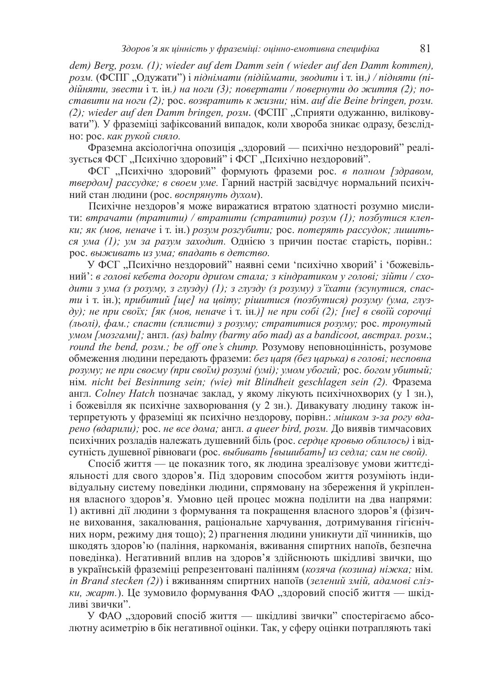*dem) Berg, posm. (1); wieder auf dem Damm sein ( wieder auf den Damm kommen), poзм.* (ФСПГ "Олужати") і піднімати (підіймати, зводити і т. ін.) / підняти (пі- $\delta$ *дійняти, звести* і т. ін.) на ноги (3); повертати / повернути до життя (2); по- $\alpha$ *kaвити на ноги (2); poc. возвратить к жизни; нім. auf die Beine bringen, розм. (2); wieder auf den Damm bringen, розм.* (ФСПГ "Сприяти одужанню, виліковувати"). У фраземіці зафіксований випадок, коли хвороба зникає одразу, безслідно: рос. как рукой сняло.

Фраземна аксіологічна опозиція "здоровий — психічно нездоровий" реалізується ФСГ "Психічно здоровий" і ФСГ "Психічно нездоровий".

ФСГ "Психічно здоровий" формують фраземи рос. в полном [здравом, *твердом] рассудке; в своем уме. Гарний настрій засвідчує нормальний психіч*ний стан людини (рос. воспрянуть духом).

Психічне нездоров'я може виражатися втратою здатності розумно мислити: втрачати (тратити) / втратити (стратити) розум (1); позбутися клеп*ки*; як (мов, неначе і т. ін.) розум розгубити; рос. потерять рассудок; лишиться ума (1); ум за разум заходит. Однією з причин постає старість, порівн.:  $po$ с. выживать из ума; впадать в детство.

У ФСГ "Психічно нездоровий" наявні семи 'психічно хворий' і 'божевільний': в голові кебета догори дриґом стала; з кіндратиком у голові; зійти / сходити з ума (з розуму, з глузду) (1); з глузду (з розуму) з'їхати (зсунутися, спас*ти* i т. iн.); прибитий [ще] на цвіту; рішитися (позбутися) розуму (ума, глуз- $\partial y$ ); не при своїх; Гяк (мов, неначе і т. ін.)] не при собі (2); [не] в своїй сорочці *(ɥɶɨɥɿ), ɮɚɦ.; ɫɩɚɫɬɢ (ɫɩɥɢɫɬɢ) ɡ ɪɨɡɭɦɭ; ɫɬɪɚɬɢɬɢɫɹ ɪɨɡɭɦɭ;* ɪɨɫ. *ɬɪɨɧɭɬɵɣ*  $y$ мом [мозгами]; англ. (as) balmy (barmy aбо mad) as a bandicoot, австрал. розм.; *round the bend, poзм.; be off one's chump.* Розумову неповноцінність, розумове  $\delta$ бмеження людини передають фраземи: без царя (без царька) в голові; несповна *poзуму; не при своєму (при своїм) розумі (умі); умом убогий; рос. богом убитый;* Him. nicht bei Besinnung sein; (wie) mit Blindheit geschlagen sein (2). Фразема англ. *Colney Hatch* позначає заклад, у якому лікують психічнохворих (у 1 зн.), і божевілля як психічне захворювання (у 2 зн.). Дивакувату людину також інтерпретують у фраземіці як психічно нездорову, порівн.: мішком з-за рогу вда $p$ ено (вдарили); рос. не все дома; англ. *а queer bird, розм.* До виявів тимчасових психічних розладів належать душевний біль (рос. сердие кровью облилось) і відсутність душевної рівноваги (рос. выбивать [вышибать] из седла; сам не свой).

Спосіб життя — це показник того, як людина зреалізовує умови життєдіяльності для свого здоров'я. Під здоровим способом життя розуміють індивідуальну систему поведінки людини, спрямовану на збереження й укріплення власного здоров'я. Умовно цей процес можна поділити на два напрями: 1) активні дії людини з формування та покращення власного здоров'я (фізичне виховання, закалювання, раціональне харчування, дотримування гігієнічних норм, режиму дня тощо); 2) прагнення людини уникнути дії чинників, що шкодять здоров'ю (паління, наркоманія, вживання спиртних напоїв, безпечна поведінка). Негативний вплив на здоров'я здійснюють шкідливі звички, що в українській фраземіці репрезентовані палінням (козяча (козина) ніжка; нім. *in Brand stecken (2)*) i вживанням спиртних напоїв (зелений змій, адамові сліз*ки*, жарт.). Це зумовило формування ФАО "здоровий спосіб життя — шкідливі звички".

У ФАО "здоровий спосіб життя — шкідливі звички" спостерігаємо абсолютну асиметрію в бік негативної оцінки. Так, у сферу оцінки потрапляють такі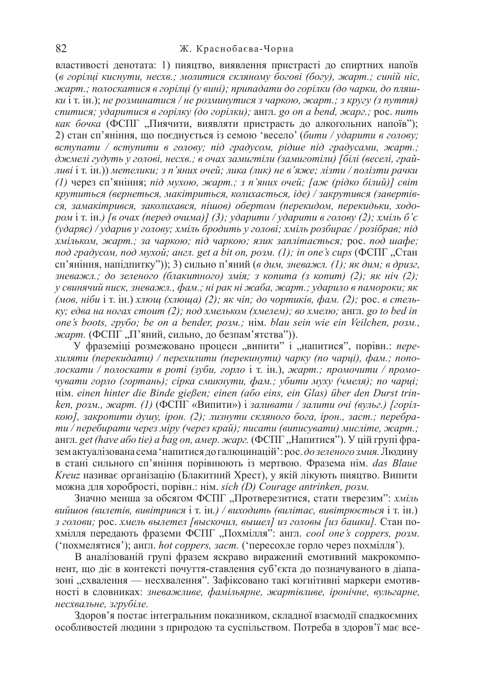властивості денотата: 1) пияцтво, виявлення пристрасті до спиртних напоїв (в горілці киснути, несхв.; молитися скляному богові (богу), жарт.; синій ніс,  $x$ карт.; полоскатися в горілці (у вині); припадати до горілки (до чарки, до пляш*ки*  $i$  т.  $\overline{ii}$ ,  $\overline{ii}$ , *не розминатися* / *не розминутися з чаркою, жарт.; з кругу (з пуття) cnumucя; ударитися в горілку (до горілки); англ. go on a bend, жарг.; рос. пить как бочка* (ФСПГ "Пиячити, виявляти пристрасть до алкогольних напоїв"); 2) стан сп'яніння, що поєднується із семою 'весело' (бити / ударити в голову;  $s$ *emynamu* /  $s$  *ecmynumu*  $s$  *zonosy; nid zpadycom, pidue nid zpadycamu, жарт.;*  $\partial$ жмелі гудуть у голові, несхв.; в очах замигтіли (замиготіли) [білі (веселі, грайливі і т. ін.)) метелики; з п'яних очей; лика (лик) не в'яже; лізти / полізти рачки *(1)* через сп'яніння; під мухою, жарт.; з п'яних очей; [аж (рідко білий)] світ  $k$ рутиться (вернеться, макітриться, колихається, *ide)* / закрутився (завертів $c$ я, замакітрився, заколихався, пішов) обертом (перекидом, перекидьки, ходо*pom* i т. iн.) [в очах (перед очима)] (3); ударити / ударити в голову (2); хміль б'є (ударяє) / ударив у голову; хміль бродить у голові; хміль розбирає / розібрав; під *xмільком, жарт.; за чаркою; під чаркою; язик заплітається; рос. под шафе; nod градусом, nod мухой; англ. get a bit on, розм. (1); in one's cups (ФСПГ "Стан* сп'яніння, напідпитку")); 3) сильно п'яний (в дим, зневажл. (1); як дим; в дризг.  $\beta$ *Hеважл.; до зеленого (блакитного) змія; з копита (з копит) (2); як ніч (2); у* свинячий писк, зневажл., фам.; ні рак ні жаба, жарт.; ударило в памороки; як *(мов. ніби* і т. ін.) *хлющ (хлюща) (2); як чіп; до чортиків, фам. (2); рос. в стельку*; едва на ногах стоит (2); под хмельком (хмелем); во хмелю; англ. go to bed in  $one's$  boots, *zpybo; be on a bender, posm.; Him. blau sein wie ein Veilchen, posm.,* жарт. (ФСПГ "П'яний, сильно, до безпам'ятства")).

У фраземіці розмежовано процеси "випити" і "напитися", порівн.: *переxuляти (перекидати) / перехилити (перекинути) чарку (по чариі), фам.; пополоскати / полоскати в роті (зуби, горло* і т. ін.), жарт.; промочити / промо*чувати горло (гортань); сірка смикнути, фам.; убити муху (чмеля); по чарці;* ɧɿɦ. *einen hinter die Binde gießen; einen (ɚɛɨ eins, ein Glas) über den Durst trinken, розм., жарт. (1)* (ФСПГ «Випити») і заливати / залити очі (вульг.) [горіл*кою*], закропити душу, ірон. (2); лизнути скляного бога, ірон., заст.; перебра $mu / n$ *еребирати через міру (через край); писати (виписувати) мисліте, жарт.;* англ. get (have aбo tie) a bag on, амер. жарг. (ФСПГ, "Напитися"). У цій групі фразем актуалізована сема 'напитися до галюцинацій': рос. до зеленого змия. Людину в стані сильного сп'яніння порівнюють із мертвою. Фразема нім. das Blaue *Kreuz* називає організацію (Блакитний Хрест), у якій лікують пияцтво. Випити можна для хоробрості, порівн.: нім. sich (D) Courage antrinken, розм.

Значно менша за обсягом ФСПГ "Протверезитися, стати тверезим": *хміль ɜɢɣɲɨɜ (ɜɢɥɟɬɿɜ, ɜɢɜɿɬɪɢɜɫɹ* ɿ ɬ. ɿɧ*.) / ɜɢɯɨɞɢɬɶ (ɜɢɥɿɬɚɽ, ɜɢɜɿɬɪɸɽɬɶɫɹ* ɿ ɬ. ɿɧ.)  $\beta$  голови; рос. хмель вылетел [выскочил, вышел] из головы [из башки]. Стан похмілля передають фраземи ФСПГ "Похмілля": англ. *cool one's coppers, розм.* ('похмелятися'); англ. *hot coppers, заст.* ('пересохле горло через похмілля').

В аналізованій групі фразем яскраво виражений емотивний макрокомпонент, що діє в контексті почуття-ставлення суб'єкта до позначуваного в діапазоні "схвалення — несхвалення". Зафіксовано такі когнітивні маркери емотивɧɨɫɬɿ ɜ ɫɥɨɜɧɢɤɚɯ: *ɡɧɟɜɚɠɥɢɜɟ, ɮɚɦɿɥɶɹɪɧɟ, ɠɚɪɬɿɜɥɢɜɟ, ɿɪɨɧɿɱɧɟ, ɜɭɥɶɝɚɪɧɟ, несхвальне, згрубіле,* 

Здоров'я постає інтегральним показником, складної взаємодії спадкоємних особливостей людини з природою та суспільством. Потреба в здоров'ї має все-